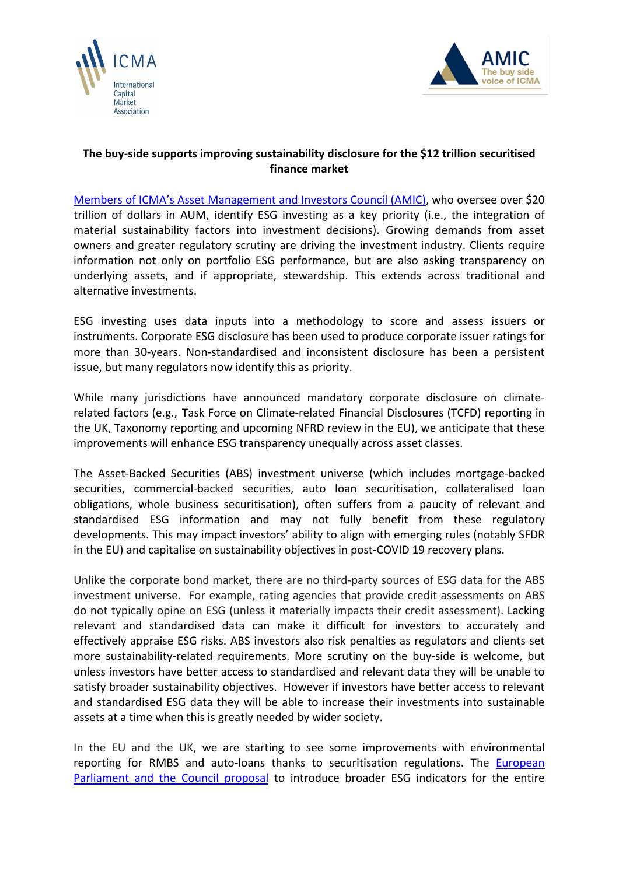



## **The buy-side supports improving sustainability disclosure for the \$12 trillion securitised finance market**

[Members of ICMA's Asset Management and Investors Council \(AMIC\),](https://www.icmagroup.org/Regulatory-Policy-and-Market-Practice/Asset-Management/icma-amic-councils-and-committees/amic-executive-committee-composition/) who oversee over \$20 trillion of dollars in AUM, identify ESG investing as a key priority (i.e., the integration of material sustainability factors into investment decisions). Growing demands from asset owners and greater regulatory scrutiny are driving the investment industry. Clients require information not only on portfolio ESG performance, but are also asking transparency on underlying assets, and if appropriate, stewardship. This extends across traditional and alternative investments.

ESG investing uses data inputs into a methodology to score and assess issuers or instruments. Corporate ESG disclosure has been used to produce corporate issuer ratings for more than 30-years. Non-standardised and inconsistent disclosure has been a persistent issue, but many regulators now identify this as priority.

While many jurisdictions have announced mandatory corporate disclosure on climaterelated factors (e.g., Task Force on Climate-related Financial Disclosures (TCFD) reporting in the UK, Taxonomy reporting and upcoming NFRD review in the EU), we anticipate that these improvements will enhance ESG transparency unequally across asset classes.

The Asset-Backed Securities (ABS) investment universe (which includes mortgage-backed securities, commercial-backed securities, auto loan securitisation, collateralised loan obligations, whole business securitisation), often suffers from a paucity of relevant and standardised ESG information and may not fully benefit from these regulatory developments. This may impact investors' ability to align with emerging rules (notably SFDR in the EU) and capitalise on sustainability objectives in post-COVID 19 recovery plans.

Unlike the corporate bond market, there are no third-party sources of ESG data for the ABS investment universe. For example, rating agencies that provide credit assessments on ABS do not typically opine on ESG (unless it materially impacts their credit assessment). Lacking relevant and standardised data can make it difficult for investors to accurately and effectively appraise ESG risks. ABS investors also risk penalties as regulators and clients set more sustainability-related requirements. More scrutiny on the buy-side is welcome, but unless investors have better access to standardised and relevant data they will be unable to satisfy broader sustainability objectives. However if investors have better access to relevant and standardised ESG data they will be able to increase their investments into sustainable assets at a time when this is greatly needed by wider society.

In the EU and the UK, we are starting to see some improvements with environmental reporting for RMBS and auto-loans thanks to securitisation regulations. The [European](https://www.consilium.europa.eu/media/47471/st13798-ad03-en20.pdf)  Parliament [and the Council](https://www.consilium.europa.eu/media/47471/st13798-ad03-en20.pdf) proposal to introduce broader ESG indicators for the entire